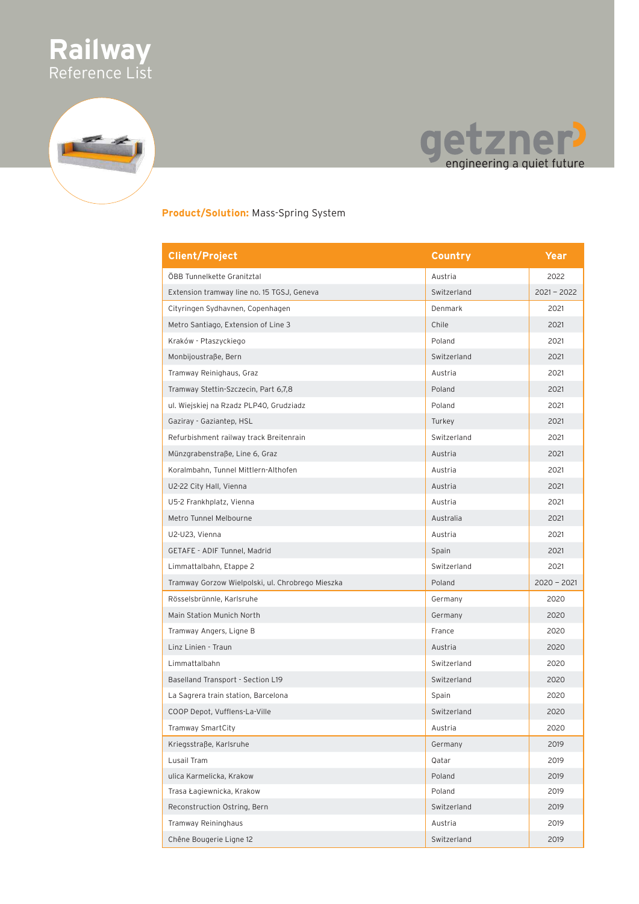



#### **Product/Solution:** Mass-Spring System

| <b>Client/Project</b>                            | Country     | Year          |
|--------------------------------------------------|-------------|---------------|
| ÖBB Tunnelkette Granitztal                       | Austria     | 2022          |
| Extension tramway line no. 15 TGSJ, Geneva       | Switzerland | $2021 - 2022$ |
| Cityringen Sydhavnen, Copenhagen                 | Denmark     | 2021          |
| Metro Santiago, Extension of Line 3              | Chile       | 2021          |
| Kraków - Ptaszyckiego                            | Poland      | 2021          |
| Monbijoustraße, Bern                             | Switzerland | 2021          |
| Tramway Reinighaus, Graz                         | Austria     | 2021          |
| Tramway Stettin-Szczecin, Part 6,7,8             | Poland      | 2021          |
| ul. Wiejskiej na Rzadz PLP40, Grudziadz          | Poland      | 2021          |
| Gaziray - Gaziantep, HSL                         | Turkey      | 2021          |
| Refurbishment railway track Breitenrain          | Switzerland | 2021          |
| Münzgrabenstraße, Line 6, Graz                   | Austria     | 2021          |
| Koralmbahn, Tunnel Mittlern-Althofen             | Austria     | 2021          |
| U2-22 City Hall, Vienna                          | Austria     | 2021          |
| U5-2 Frankhplatz, Vienna                         | Austria     | 2021          |
| Metro Tunnel Melbourne                           | Australia   | 2021          |
| U2-U23, Vienna                                   | Austria     | 2021          |
| GETAFE - ADIF Tunnel, Madrid                     | Spain       | 2021          |
| Limmattalbahn, Etappe 2                          | Switzerland | 2021          |
| Tramway Gorzow Wielpolski, ul. Chrobrego Mieszka | Poland      | $2020 - 2021$ |
| Rösselsbrünnle, Karlsruhe                        | Germany     | 2020          |
| Main Station Munich North                        | Germany     | 2020          |
| Tramway Angers, Ligne B                          | France      | 2020          |
| Linz Linien - Traun                              | Austria     | 2020          |
| Limmattalbahn                                    | Switzerland | 2020          |
| Baselland Transport - Section L19                | Switzerland | 2020          |
| La Sagrera train station, Barcelona              | Spain       | 2020          |
| COOP Depot, Vufflens-La-Ville                    | Switzerland | 2020          |
| Tramway SmartCity                                | Austria     | 2020          |
| Kriegsstraße, Karlsruhe                          | Germany     | 2019          |
| Lusail Tram                                      | Qatar       | 2019          |
| ulica Karmelicka, Krakow                         | Poland      | 2019          |
| Trasa Łagiewnicka, Krakow                        | Poland      | 2019          |
| Reconstruction Ostring, Bern                     | Switzerland | 2019          |
| Tramway Reininghaus                              | Austria     | 2019          |
| Chêne Bougerie Ligne 12                          | Switzerland | 2019          |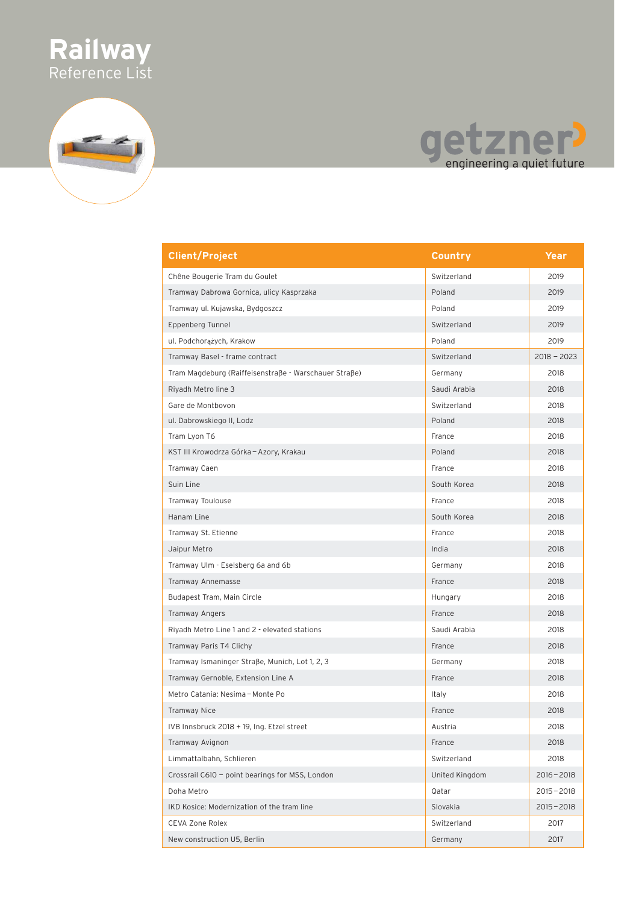



### etzner ge

| <b>Client/Project</b>                                 | <b>Country</b> | Year          |
|-------------------------------------------------------|----------------|---------------|
| Chêne Bougerie Tram du Goulet                         | Switzerland    | 2019          |
| Tramway Dabrowa Gornica, ulicy Kasprzaka              | Poland         | 2019          |
| Tramway ul. Kujawska, Bydgoszcz                       | Poland         | 2019          |
| Eppenberg Tunnel                                      | Switzerland    | 2019          |
| ul. Podchorążych, Krakow                              | Poland         | 2019          |
| Tramway Basel - frame contract                        | Switzerland    | $2018 - 2023$ |
| Tram Magdeburg (Raiffeisenstraße - Warschauer Straße) | Germany        | 2018          |
| Riyadh Metro line 3                                   | Saudi Arabia   | 2018          |
| Gare de Montbovon                                     | Switzerland    | 2018          |
| ul. Dabrowskiego II, Lodz                             | Poland         | 2018          |
| Tram Lyon T6                                          | France         | 2018          |
| KST III Krowodrza Górka – Azory, Krakau               | Poland         | 2018          |
| Tramway Caen                                          | France         | 2018          |
| Suin Line                                             | South Korea    | 2018          |
| Tramway Toulouse                                      | France         | 2018          |
| Hanam Line                                            | South Korea    | 2018          |
| Tramway St. Etienne                                   | France         | 2018          |
| Jaipur Metro                                          | India          | 2018          |
| Tramway Ulm - Eselsberg 6a and 6b                     | Germany        | 2018          |
| Tramway Annemasse                                     | France         | 2018          |
| Budapest Tram, Main Circle                            | Hungary        | 2018          |
| Tramway Angers                                        | France         | 2018          |
| Riyadh Metro Line 1 and 2 - elevated stations         | Saudi Arabia   | 2018          |
| Tramway Paris T4 Clichy                               | France         | 2018          |
| Tramway Ismaninger Straße, Munich, Lot 1, 2, 3        | Germany        | 2018          |
| Tramway Gernoble, Extension Line A                    | France         | 2018          |
| Metro Catania: Nesima – Monte Po                      | Italy          | 2018          |
| Tramway Nice                                          | France         | 2018          |
| IVB Innsbruck 2018 + 19, Ing. Etzel street            | Austria        | 2018          |
| Tramway Avignon                                       | France         | 2018          |
| Limmattalbahn, Schlieren                              | Switzerland    | 2018          |
| Crossrail C610 - point bearings for MSS, London       | United Kingdom | $2016 - 2018$ |
| Doha Metro                                            | Qatar          | $2015 - 2018$ |
| IKD Kosice: Modernization of the tram line            | Slovakia       | $2015 - 2018$ |
| <b>CEVA Zone Rolex</b>                                | Switzerland    | 2017          |
| New construction U5, Berlin                           | Germany        | 2017          |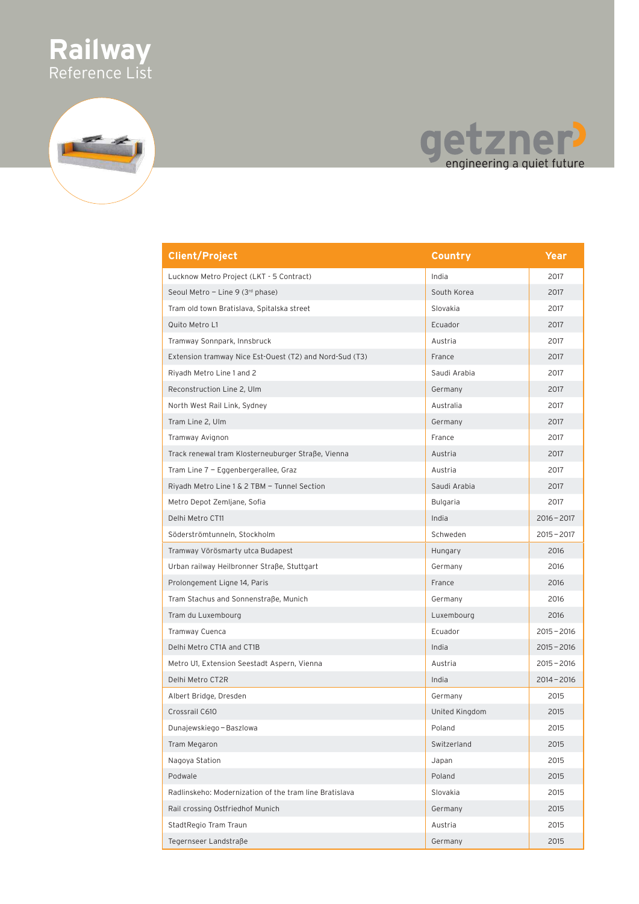

### etzner<sup>)</sup><br>engineering a quiet future qe

| <b>Client/Project</b>                                   | Country        | Year          |
|---------------------------------------------------------|----------------|---------------|
| Lucknow Metro Project (LKT - 5 Contract)                | India          | 2017          |
| Seoul Metro - Line 9 (3rd phase)                        | South Korea    | 2017          |
| Tram old town Bratislava, Spitalska street              | Slovakia       | 2017          |
| Quito Metro L1                                          | Ecuador        | 2017          |
| Tramway Sonnpark, Innsbruck                             | Austria        | 2017          |
| Extension tramway Nice Est-Ouest (T2) and Nord-Sud (T3) | France         | 2017          |
| Riyadh Metro Line 1 and 2                               | Saudi Arabia   | 2017          |
| Reconstruction Line 2, Ulm                              | Germany        | 2017          |
| North West Rail Link, Sydney                            | Australia      | 2017          |
| Tram Line 2, Ulm                                        | Germany        | 2017          |
| Tramway Avignon                                         | France         | 2017          |
| Track renewal tram Klosterneuburger Straße, Vienna      | Austria        | 2017          |
| Tram Line 7 - Eggenbergerallee, Graz                    | Austria        | 2017          |
| Riyadh Metro Line 1 & 2 TBM - Tunnel Section            | Saudi Arabia   | 2017          |
| Metro Depot Zemljane, Sofia                             | Bulgaria       | 2017          |
| Delhi Metro CT11                                        | India          | $2016 - 2017$ |
| Söderströmtunneln, Stockholm                            | Schweden       | $2015 - 2017$ |
| Tramway Vörösmarty utca Budapest                        | Hungary        | 2016          |
| Urban railway Heilbronner Straße, Stuttgart             | Germany        | 2016          |
| Prolongement Ligne 14, Paris                            | France         | 2016          |
| Tram Stachus and Sonnenstraße, Munich                   | Germany        | 2016          |
| Tram du Luxembourg                                      | Luxembourg     | 2016          |
| Tramway Cuenca                                          | Ecuador        | $2015 - 2016$ |
| Delhi Metro CT1A and CT1B                               | India          | $2015 - 2016$ |
| Metro U1, Extension Seestadt Aspern, Vienna             | Austria        | $2015 - 2016$ |
| Delhi Metro CT2R                                        | India          | $2014 - 2016$ |
| Albert Bridge, Dresden                                  | Germany        | 2015          |
| Crossrail C610                                          | United Kingdom | 2015          |
| Dunajewskiego - Baszlowa                                | Poland         | 2015          |
| Tram Megaron                                            | Switzerland    | 2015          |
| Nagoya Station                                          | Japan          | 2015          |
| Podwale                                                 | Poland         | 2015          |
| Radlinskeho: Modernization of the tram line Bratislava  | Slovakia       | 2015          |
| Rail crossing Ostfriedhof Munich                        | Germany        | 2015          |
| StadtRegio Tram Traun                                   | Austria        | 2015          |
| Tegernseer Landstraße                                   | Germany        | 2015          |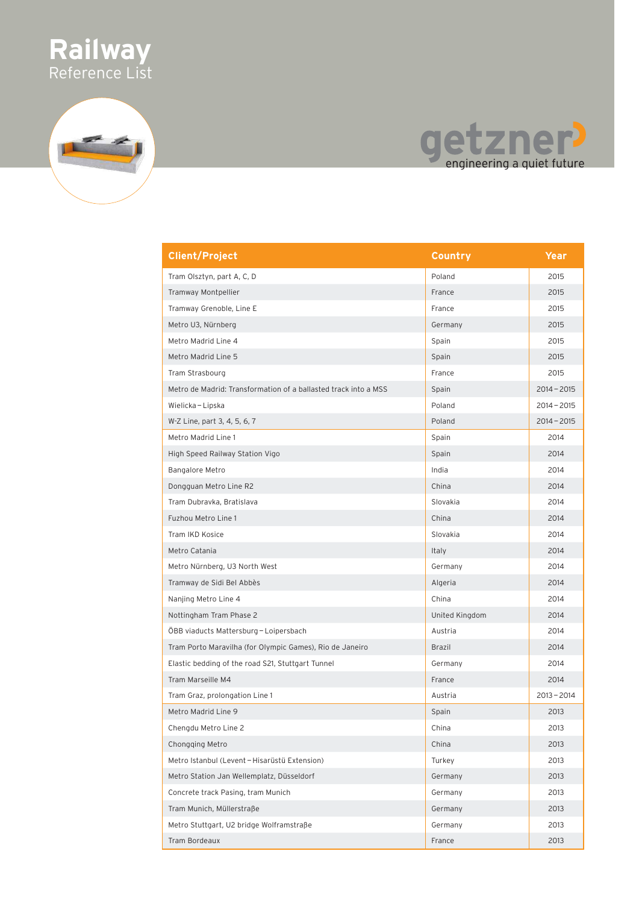

# getzner!

| <b>Client/Project</b>                                           | Country        | Year          |
|-----------------------------------------------------------------|----------------|---------------|
| Tram Olsztyn, part A, C, D                                      | Poland         | 2015          |
| Tramway Montpellier                                             | France         | 2015          |
| Tramway Grenoble, Line E                                        | France         | 2015          |
| Metro U3, Nürnberg                                              | Germany        | 2015          |
| Metro Madrid Line 4                                             | Spain          | 2015          |
| Metro Madrid Line 5                                             | Spain          | 2015          |
| Tram Strasbourg                                                 | France         | 2015          |
| Metro de Madrid: Transformation of a ballasted track into a MSS | Spain          | $2014 - 2015$ |
| Wielicka - Lipska                                               | Poland         | $2014 - 2015$ |
| W-Z Line, part 3, 4, 5, 6, 7                                    | Poland         | $2014 - 2015$ |
| Metro Madrid Line 1                                             | Spain          | 2014          |
| High Speed Railway Station Vigo                                 | Spain          | 2014          |
| Bangalore Metro                                                 | India          | 2014          |
| Dongguan Metro Line R2                                          | China          | 2014          |
| Tram Dubravka, Bratislava                                       | Slovakia       | 2014          |
| Fuzhou Metro Line 1                                             | China          | 2014          |
| Tram IKD Kosice                                                 | Slovakia       | 2014          |
| Metro Catania                                                   | Italy          | 2014          |
| Metro Nürnberg, U3 North West                                   | Germany        | 2014          |
| Tramway de Sidi Bel Abbès                                       | Algeria        | 2014          |
| Nanjing Metro Line 4                                            | China          | 2014          |
| Nottingham Tram Phase 2                                         | United Kingdom | 2014          |
| ÖBB viaducts Mattersburg-Loipersbach                            | Austria        | 2014          |
| Tram Porto Maravilha (for Olympic Games), Rio de Janeiro        | Brazil         | 2014          |
| Elastic bedding of the road S21, Stuttgart Tunnel               | Germany        | 2014          |
| Tram Marseille M4                                               | France         | 2014          |
| Tram Graz, prolongation Line 1                                  | Austria        | $2013 - 2014$ |
| Metro Madrid Line 9                                             | Spain          | 2013          |
| Chengdu Metro Line 2                                            | China          | 2013          |
| Chongging Metro                                                 | China          | 2013          |
| Metro Istanbul (Levent-Hisarüstü Extension)                     | Turkey         | 2013          |
| Metro Station Jan Wellemplatz, Düsseldorf                       | Germany        | 2013          |
| Concrete track Pasing, tram Munich                              | Germany        | 2013          |
| Tram Munich, Müllerstraße                                       | Germany        | 2013          |
| Metro Stuttgart, U2 bridge Wolframstraße                        | Germany        | 2013          |
| Tram Bordeaux                                                   | France         | 2013          |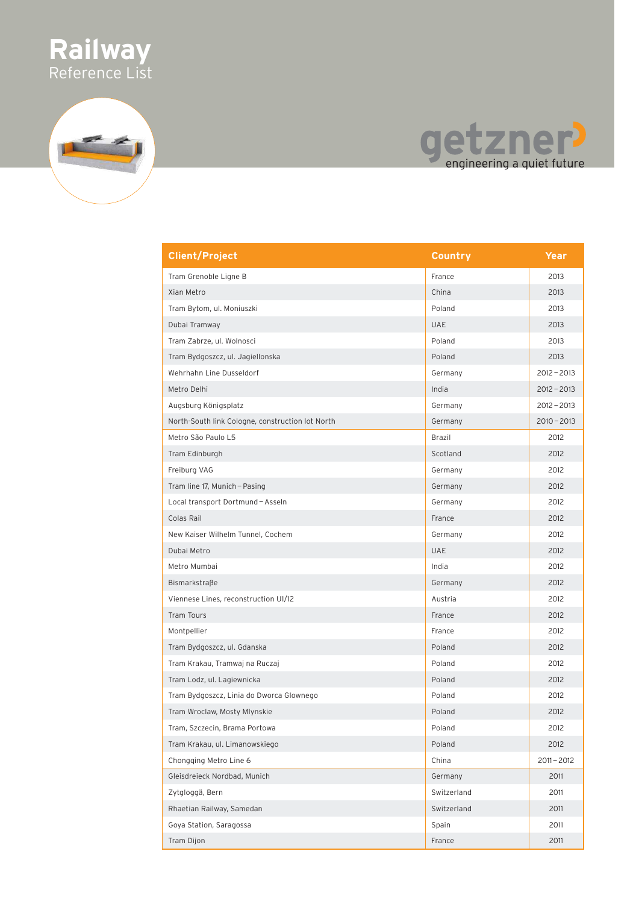





| <b>Client/Project</b>                            | Country     | Year          |
|--------------------------------------------------|-------------|---------------|
| Tram Grenoble Ligne B                            | France      | 2013          |
| Xian Metro                                       | China       | 2013          |
| Tram Bytom, ul. Moniuszki                        | Poland      | 2013          |
| Dubai Tramway                                    | <b>UAE</b>  | 2013          |
| Tram Zabrze, ul. Wolnosci                        | Poland      | 2013          |
| Tram Bydgoszcz, ul. Jagiellonska                 | Poland      | 2013          |
| Wehrhahn Line Dusseldorf                         | Germany     | $2012 - 2013$ |
| Metro Delhi                                      | India       | $2012 - 2013$ |
| Augsburg Königsplatz                             | Germany     | $2012 - 2013$ |
| North-South link Cologne, construction lot North | Germany     | $2010 - 2013$ |
| Metro São Paulo L5                               | Brazil      | 2012          |
| Tram Edinburgh                                   | Scotland    | 2012          |
| Freiburg VAG                                     | Germany     | 2012          |
| Tram line 17, Munich - Pasing                    | Germany     | 2012          |
| Local transport Dortmund - Asseln                | Germany     | 2012          |
| Colas Rail                                       | France      | 2012          |
| New Kaiser Wilhelm Tunnel, Cochem                | Germany     | 2012          |
| Dubai Metro                                      | <b>UAE</b>  | 2012          |
| Metro Mumbai                                     | India       | 2012          |
| Bismarkstraße                                    | Germany     | 2012          |
| Viennese Lines, reconstruction U1/12             | Austria     | 2012          |
| Tram Tours                                       | France      | 2012          |
| Montpellier                                      | France      | 2012          |
| Tram Bydgoszcz, ul. Gdanska                      | Poland      | 2012          |
| Tram Krakau, Tramwaj na Ruczaj                   | Poland      | 2012          |
| Tram Lodz, ul. Lagiewnicka                       | Poland      | 2012          |
| Tram Bydgoszcz, Linia do Dworca Glownego         | Poland      | 2012          |
| Tram Wroclaw, Mosty Mlynskie                     | Poland      | 2012          |
| Tram, Szczecin, Brama Portowa                    | Poland      | 2012          |
| Tram Krakau, ul. Limanowskiego                   | Poland      | 2012          |
| Chongging Metro Line 6                           | China       | $2011 - 2012$ |
| Gleisdreieck Nordbad, Munich                     | Germany     | 2011          |
| Zytgloggä, Bern                                  | Switzerland | 2011          |
| Rhaetian Railway, Samedan                        | Switzerland | 2011          |
| Goya Station, Saragossa                          | Spain       | 2011          |
| Tram Dijon                                       | France      | 2011          |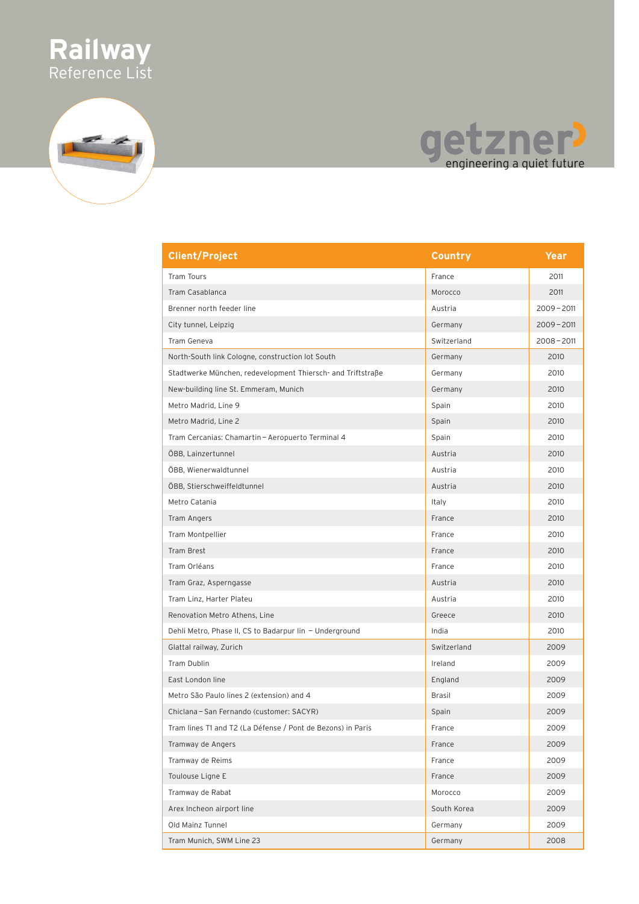

## getzner?

| <b>Client/Project</b>                                       | <b>Country</b> | <b>Year</b>   |
|-------------------------------------------------------------|----------------|---------------|
| <b>Tram Tours</b>                                           | France         | 2011          |
| Tram Casablanca                                             | Morocco        | 2011          |
| Brenner north feeder line                                   | Austria        | $2009 - 2011$ |
| City tunnel, Leipzig                                        | Germany        | $2009 - 2011$ |
| Tram Geneva                                                 | Switzerland    | $2008 - 2011$ |
| North-South link Cologne, construction lot South            | Germany        | 2010          |
| Stadtwerke München, redevelopment Thiersch- and Triftstraße | Germany        | 2010          |
| New-building line St. Emmeram, Munich                       | Germany        | 2010          |
| Metro Madrid, Line 9                                        | Spain          | 2010          |
| Metro Madrid, Line 2                                        | Spain          | 2010          |
| Tram Cercanias: Chamartin - Aeropuerto Terminal 4           | Spain          | 2010          |
| ÖBB, Lainzertunnel                                          | Austria        | 2010          |
| ÖBB, Wienerwaldtunnel                                       | Austria        | 2010          |
| ÖBB, Stierschweiffeldtunnel                                 | Austria        | 2010          |
| Metro Catania                                               | Italy          | 2010          |
| Tram Angers                                                 | France         | 2010          |
| Tram Montpellier                                            | France         | 2010          |
| Tram Brest                                                  | France         | 2010          |
| Tram Orléans                                                | France         | 2010          |
| Tram Graz, Asperngasse                                      | Austria        | 2010          |
| Tram Linz, Harter Plateu                                    | Austria        | 2010          |
| Renovation Metro Athens, Line                               | Greece         | 2010          |
| Dehli Metro, Phase II, CS to Badarpur lin - Underground     | India          | 2010          |
| Glattal railway, Zurich                                     | Switzerland    | 2009          |
| Tram Dublin                                                 | Ireland        | 2009          |
| East London line                                            | England        | 2009          |
| Metro São Paulo lines 2 (extension) and 4                   | <b>Brasil</b>  | 2009          |
| Chiclana - San Fernando (customer: SACYR)                   | Spain          | 2009          |
| Tram lines T1 and T2 (La Défense / Pont de Bezons) in Paris | France         | 2009          |
| Tramway de Angers                                           | France         | 2009          |
| Tramway de Reims                                            | France         | 2009          |
| Toulouse Ligne E                                            | France         | 2009          |
| Tramway de Rabat                                            | Morocco        | 2009          |
| Arex Incheon airport line                                   | South Korea    | 2009          |
| Old Mainz Tunnel                                            | Germany        | 2009          |
| Tram Munich, SWM Line 23                                    | Germany        | 2008          |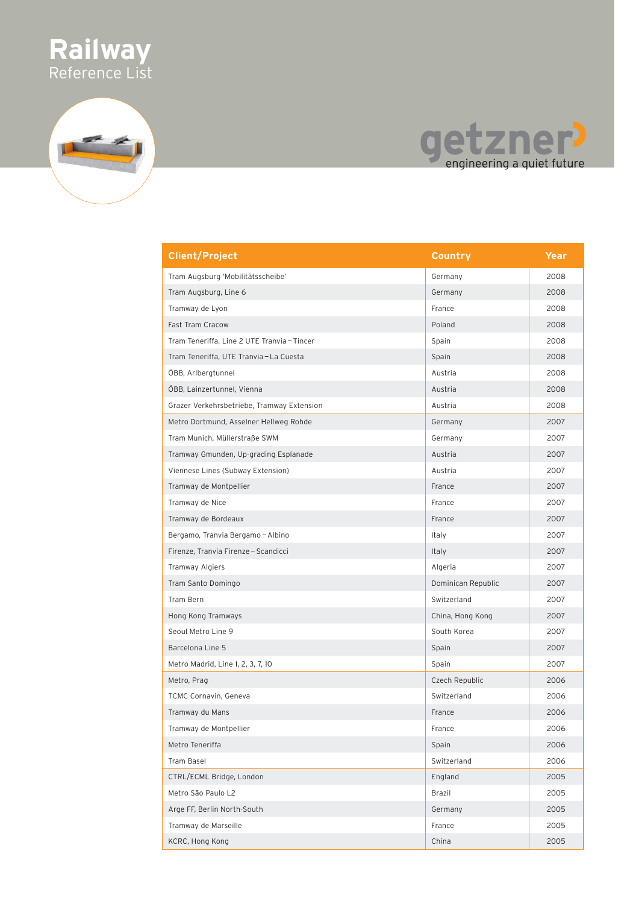

# getzner!

| <b>Client/Project</b>                       | Country            | Year |
|---------------------------------------------|--------------------|------|
| Tram Augsburg 'Mobilitätsscheibe'           | Germany            | 2008 |
| Tram Augsburg, Line 6                       | Germany            | 2008 |
| Tramway de Lyon                             | France             | 2008 |
| Fast Tram Cracow                            | Poland             | 2008 |
| Tram Teneriffa, Line 2 UTE Tranvia - Tincer | Spain              | 2008 |
| Tram Teneriffa, UTE Tranvia-La Cuesta       | Spain              | 2008 |
| ÖBB, Arlbergtunnel                          | Austria            | 2008 |
| ÖBB, Lainzertunnel, Vienna                  | Austria            | 2008 |
| Grazer Verkehrsbetriebe, Tramway Extension  | Austria            | 2008 |
| Metro Dortmund, Asselner Hellweg Rohde      | Germany            | 2007 |
| Tram Munich, Müllerstraße SWM               | Germany            | 2007 |
| Tramway Gmunden, Up-grading Esplanade       | Austria            | 2007 |
| Viennese Lines (Subway Extension)           | Austria            | 2007 |
| Tramway de Montpellier                      | France             | 2007 |
| Tramway de Nice                             | France             | 2007 |
| Tramway de Bordeaux                         | France             | 2007 |
| Bergamo, Tranvia Bergamo - Albino           | Italy              | 2007 |
| Firenze, Tranvia Firenze - Scandicci        | Italy              | 2007 |
| <b>Tramway Algiers</b>                      | Algeria            | 2007 |
| Tram Santo Domingo                          | Dominican Republic | 2007 |
| Tram Bern                                   | Switzerland        | 2007 |
| Hong Kong Tramways                          | China, Hong Kong   | 2007 |
| Seoul Metro Line 9                          | South Korea        | 2007 |
| Barcelona Line 5                            | Spain              | 2007 |
| Metro Madrid, Line 1, 2, 3, 7, 10           | Spain              | 2007 |
| Metro, Prag                                 | Czech Republic     | 2006 |
| <b>TCMC Cornavin, Geneva</b>                | Switzerland        | 2006 |
| Tramway du Mans                             | France             | 2006 |
| Tramway de Montpellier                      | France             | 2006 |
| Metro Teneriffa                             | Spain              | 2006 |
| Tram Basel                                  | Switzerland        | 2006 |
| CTRL/ECML Bridge, London                    | England            | 2005 |
| Metro São Paulo L2                          | Brazil             | 2005 |
| Arge FF, Berlin North-South                 | Germany            | 2005 |
| Tramway de Marseille                        | France             | 2005 |
| KCRC, Hong Kong                             | China              | 2005 |